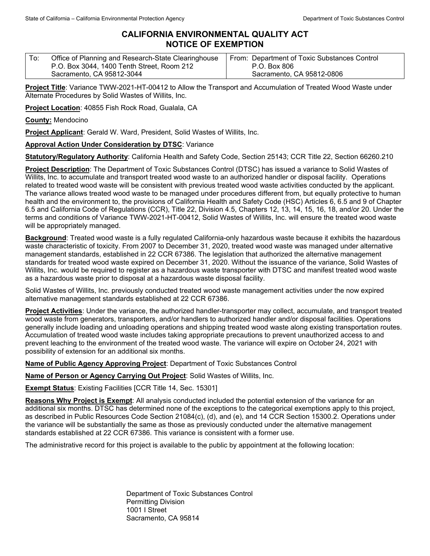## **CALIFORNIA ENVIRONMENTAL QUALITY ACT NOTICE OF EXEMPTION**

| Office of Planning and Research-State Clearinghouse | From: Department of Toxic Substances Control |
|-----------------------------------------------------|----------------------------------------------|
| P.O. Box 3044, 1400 Tenth Street, Room 212          | P.O. Box 806                                 |
| Sacramento, CA 95812-3044                           | Sacramento, CA 95812-0806                    |

**Project Title**: Variance TWW-2021-HT-00412 to Allow the Transport and Accumulation of Treated Wood Waste under Alternate Procedures by Solid Wastes of Willits, Inc.

**Project Location**: 40855 Fish Rock Road, Gualala, CA

**County:** Mendocino

**Project Applicant**: Gerald W. Ward, President, Solid Wastes of Willits, Inc.

## **Approval Action Under Consideration by DTSC**: Variance

**Statutory/Regulatory Authority**: California Health and Safety Code, Section 25143; CCR Title 22, Section 66260.210

**Project Description**: The Department of Toxic Substances Control (DTSC) has issued a variance to Solid Wastes of Willits, Inc. to accumulate and transport treated wood waste to an authorized handler or disposal facility. Operations related to treated wood waste will be consistent with previous treated wood waste activities conducted by the applicant. The variance allows treated wood waste to be managed under procedures different from, but equally protective to human health and the environment to, the provisions of California Health and Safety Code (HSC) Articles 6, 6.5 and 9 of Chapter 6.5 and California Code of Regulations (CCR), Title 22, Division 4.5, Chapters 12, 13, 14, 15, 16, 18, and/or 20. Under the terms and conditions of Variance TWW-2021-HT-00412, Solid Wastes of Willits, Inc. will ensure the treated wood waste will be appropriately managed.

**Background**: Treated wood waste is a fully regulated California-only hazardous waste because it exhibits the hazardous waste characteristic of toxicity. From 2007 to December 31, 2020, treated wood waste was managed under alternative management standards, established in 22 CCR 67386. The legislation that authorized the alternative management standards for treated wood waste expired on December 31, 2020. Without the issuance of the variance, Solid Wastes of Willits, Inc. would be required to register as a hazardous waste transporter with DTSC and manifest treated wood waste as a hazardous waste prior to disposal at a hazardous waste disposal facility.

Solid Wastes of Willits, Inc. previously conducted treated wood waste management activities under the now expired alternative management standards established at 22 CCR 67386.

**Project Activities**: Under the variance, the authorized handler-transporter may collect, accumulate, and transport treated wood waste from generators, transporters, and/or handlers to authorized handler and/or disposal facilities. Operations generally include loading and unloading operations and shipping treated wood waste along existing transportation routes. Accumulation of treated wood waste includes taking appropriate precautions to prevent unauthorized access to and prevent leaching to the environment of the treated wood waste. The variance will expire on October 24, 2021 with possibility of extension for an additional six months.

**Name of Public Agency Approving Project**: Department of Toxic Substances Control

**Name of Person or Agency Carrying Out Project**: Solid Wastes of Willits, Inc.

**Exempt Status**: Existing Facilities [CCR Title 14, Sec. 15301]

**Reasons Why Project is Exempt**: All analysis conducted included the potential extension of the variance for an additional six months. DTSC has determined none of the exceptions to the categorical exemptions apply to this project, as described in Public Resources Code Section 21084(c), (d), and (e), and 14 CCR Section 15300.2. Operations under the variance will be substantially the same as those as previously conducted under the alternative management standards established at 22 CCR 67386. This variance is consistent with a former use.

The administrative record for this project is available to the public by appointment at the following location:

Department of Toxic Substances Control Permitting Division 1001 I Street Sacramento, CA 95814